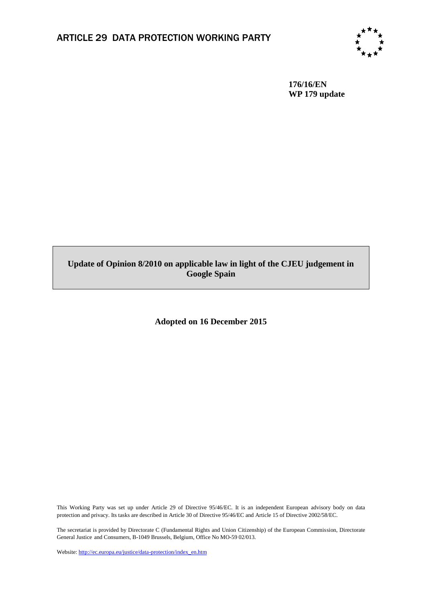

**176/16/EN WP 179 update**

# **Update of Opinion 8/2010 on applicable law in light of the CJEU judgement in Google Spain**

**Adopted on 16 December 2015**

This Working Party was set up under Article 29 of Directive 95/46/EC. It is an independent European advisory body on data protection and privacy. Its tasks are described in Article 30 of Directive 95/46/EC and Article 15 of Directive 2002/58/EC.

The secretariat is provided by Directorate C (Fundamental Rights and Union Citizenship) of the European Commission, Directorate General Justice and Consumers, B-1049 Brussels, Belgium, Office No MO-59 02/013.

Website: [http://ec.europa.eu/justice/data-protection/index\\_en.htm](http://ec.europa.eu/justice/data-protection/index_en.htm)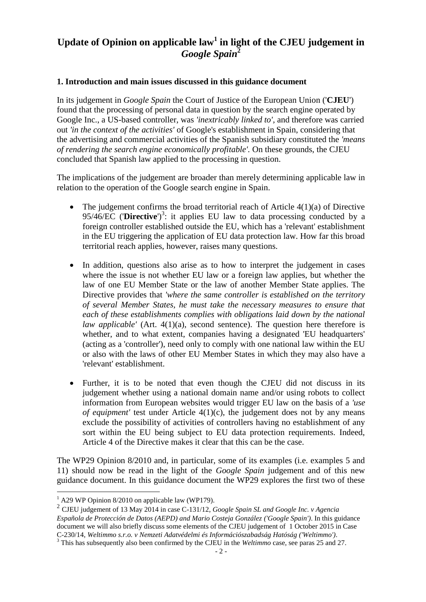# **Update of Opinion on applicable law<sup>1</sup> in light of the CJEU judgement in**  *Google Spain***<sup>2</sup>**

### **1. Introduction and main issues discussed in this guidance document**

In its judgement in *Google Spain* the Court of Justice of the European Union ('**CJEU**') found that the processing of personal data in question by the search engine operated by Google Inc., a US-based controller, was *'inextricably linked to',* and therefore was carried out *'in the context of the activities'* of Google's establishment in Spain, considering that the advertising and commercial activities of the Spanish subsidiary constituted the *'means of rendering the search engine economically profitable'.* On these grounds, the CJEU concluded that Spanish law applied to the processing in question.

The implications of the judgement are broader than merely determining applicable law in relation to the operation of the Google search engine in Spain.

- The judgement confirms the broad territorial reach of Article  $4(1)(a)$  of Directive  $95/46$ /EC (**Directive**')<sup>3</sup>: it applies EU law to data processing conducted by a foreign controller established outside the EU, which has a 'relevant' establishment in the EU triggering the application of EU data protection law. How far this broad territorial reach applies, however, raises many questions.
- In addition, questions also arise as to how to interpret the judgement in cases where the issue is not whether EU law or a foreign law applies, but whether the law of one EU Member State or the law of another Member State applies. The Directive provides that *'where the same controller is established on the territory of several Member States, he must take the necessary measures to ensure that each of these establishments complies with obligations laid down by the national law applicable'* (Art. 4(1)(a), second sentence). The question here therefore is whether, and to what extent, companies having a designated 'EU headquarters' (acting as a 'controller'), need only to comply with one national law within the EU or also with the laws of other EU Member States in which they may also have a 'relevant' establishment.
- Further, it is to be noted that even though the CJEU did not discuss in its judgement whether using a national domain name and/or using robots to collect information from European websites would trigger EU law on the basis of a *'use of equipment'* test under Article 4(1)(c), the judgement does not by any means exclude the possibility of activities of controllers having no establishment of any sort within the EU being subject to EU data protection requirements. Indeed, Article 4 of the Directive makes it clear that this can be the case.

The WP29 Opinion 8/2010 and, in particular, some of its examples (i.e. examples 5 and 11) should now be read in the light of the *Google Spain* judgement and of this new guidance document. In this guidance document the WP29 explores the first two of these

<sup>&</sup>lt;u>.</u>  $1$  A29 WP Opinion 8/2010 on applicable law (WP179).

<sup>2</sup> CJEU judgement of 13 May 2014 in case C-131/12, *Google Spain SL and Google Inc. v Agencia Española de Protección de Datos (AEPD) and Mario Costeja González ('Google Spain')*. In this guidance document we will also briefly discuss some elements of the CJEU judgement of 1 October 2015 in Case C-230/14, *Weltimmo s.r.o. v Nemzeti Adatvédelmi és Információszabadság Hatóság ('Weltimmo').*

<sup>3</sup> This has subsequently also been confirmed by the CJEU in the *Weltimmo* case, see paras 25 and 27.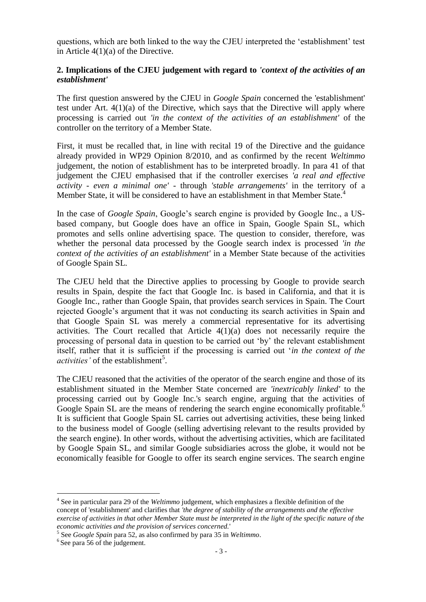questions, which are both linked to the way the CJEU interpreted the 'establishment' test in Article 4(1)(a) of the Directive.

#### **2. Implications of the CJEU judgement with regard to** *'context of the activities of an establishment'*

The first question answered by the CJEU in *Google Spain* concerned the 'establishment' test under Art. 4(1)(a) of the Directive, which says that the Directive will apply where processing is carried out *'in the context of the activities of an establishment'* of the controller on the territory of a Member State.

First, it must be recalled that, in line with recital 19 of the Directive and the guidance already provided in WP29 Opinion 8/2010, and as confirmed by the recent *Weltimmo* judgement, the notion of establishment has to be interpreted broadly. In para 41 of that judgement the CJEU emphasised that if the controller exercises *'a real and effective activity - even a minimal one'* - through *'stable arrangements'* in the territory of a Member State, it will be considered to have an establishment in that Member State.<sup>4</sup>

In the case of *Google Spain*, Google's search engine is provided by Google Inc., a USbased company, but Google does have an office in Spain, Google Spain SL, which promotes and sells online advertising space. The question to consider, therefore, was whether the personal data processed by the Google search index is processed *'in the context of the activities of an establishment'* in a Member State because of the activities of Google Spain SL.

The CJEU held that the Directive applies to processing by Google to provide search results in Spain, despite the fact that Google Inc. is based in California, and that it is Google Inc., rather than Google Spain, that provides search services in Spain. The Court rejected Google's argument that it was not conducting its search activities in Spain and that Google Spain SL was merely a commercial representative for its advertising activities. The Court recalled that Article  $4(1)(a)$  does not necessarily require the processing of personal data in question to be carried out 'by' the relevant establishment itself, rather that it is sufficient if the processing is carried out '*in the context of the activities'* of the establishment<sup>5</sup>.

The CJEU reasoned that the activities of the operator of the search engine and those of its establishment situated in the Member State concerned are *'inextricably linked'* to the processing carried out by Google Inc.'s search engine, arguing that the activities of Google Spain SL are the means of rendering the search engine economically profitable.<sup>6</sup> It is sufficient that Google Spain SL carries out advertising activities, these being linked to the business model of Google (selling advertising relevant to the results provided by the search engine). In other words, without the advertising activities, which are facilitated by Google Spain SL, and similar Google subsidiaries across the globe, it would not be economically feasible for Google to offer its search engine services. The search engine

<sup>4</sup> See in particular para 29 of the *Weltimmo* judgement, which emphasizes a flexible definition of the concept of 'establishment' and clarifies that *'the degree of stability of the arrangements and the effective exercise of activities in that other Member State must be interpreted in the light of the specific nature of the economic activities and the provision of services concerned.*'

<sup>5</sup> See *Google Spain* para 52, as also confirmed by para 35 in *Weltimmo*.

 $6$  See para 56 of the judgement.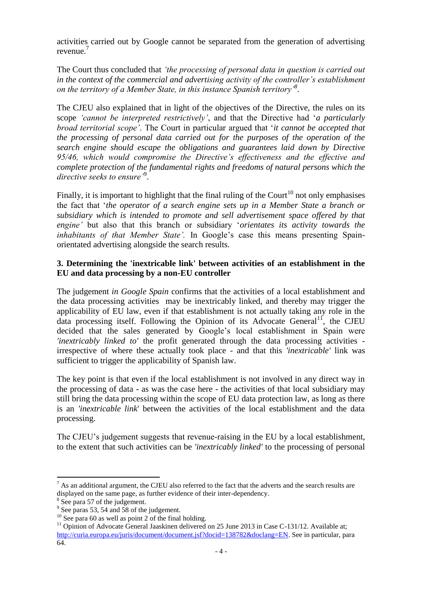activities carried out by Google cannot be separated from the generation of advertising revenue. 7

The Court thus concluded that *'the processing of personal data in question is carried out in the context of the commercial and advertising activity of the controller's establishment on the territory of a Member State, in this instance Spanish territory'<sup>8</sup> .*

The CJEU also explained that in light of the objectives of the Directive, the rules on its scope *'cannot be interpreted restrictively'*, and that the Directive had '*a particularly broad territorial scope'*. The Court in particular argued that '*it cannot be accepted that the processing of personal data carried out for the purposes of the operation of the search engine should escape the obligations and guarantees laid down by Directive 95/46, which would compromise the Directive's effectiveness and the effective and complete protection of the fundamental rights and freedoms of natural persons which the directive seeks to ensure'*<sup>9</sup> .

Finally, it is important to highlight that the final ruling of the Court<sup>10</sup> not only emphasises the fact that '*the operator of a search engine sets up in a Member State a branch or subsidiary which is intended to promote and sell advertisement space offered by that engine'* but also that this branch or subsidiary '*orientates its activity towards the inhabitants of that Member State'.* In Google's case this means presenting Spainorientated advertising alongside the search results.

#### **3. Determining the 'inextricable link' between activities of an establishment in the EU and data processing by a non-EU controller**

The judgement *in Google Spain* confirms that the activities of a local establishment and the data processing activities may be inextricably linked, and thereby may trigger the applicability of EU law, even if that establishment is not actually taking any role in the data processing itself. Following the Opinion of its Advocate General<sup>11</sup>, the CJEU decided that the sales generated by Google's local establishment in Spain were *'inextricably linked to'* the profit generated through the data processing activities irrespective of where these actually took place - and that this *'inextricable'* link was sufficient to trigger the applicability of Spanish law.

The key point is that even if the local establishment is not involved in any direct way in the processing of data - as was the case here - the activities of that local subsidiary may still bring the data processing within the scope of EU data protection law, as long as there is an *'inextricable link*' between the activities of the local establishment and the data processing.

The CJEU's judgement suggests that revenue-raising in the EU by a local establishment, to the extent that such activities can be *'inextricably linked'* to the processing of personal

 $<sup>7</sup>$  As an additional argument, the CJEU also referred to the fact that the adverts and the search results are</sup> displayed on the same page, as further evidence of their inter-dependency.

<sup>&</sup>lt;sup>8</sup> See para 57 of the judgement.

<sup>&</sup>lt;sup>9</sup> See paras 53, 54 and 58 of the judgement.

 $^{10}$  See para 60 as well as point 2 of the final holding.

 $11$  Opinion of Advocate General Jaaskinen delivered on 25 June 2013 in Case C-131/12. Available at; [http://curia.europa.eu/juris/document/document.jsf?docid=138782&doclang=EN.](http://curia.europa.eu/juris/document/document.jsf?docid=138782&doclang=EN) See in particular, para 64.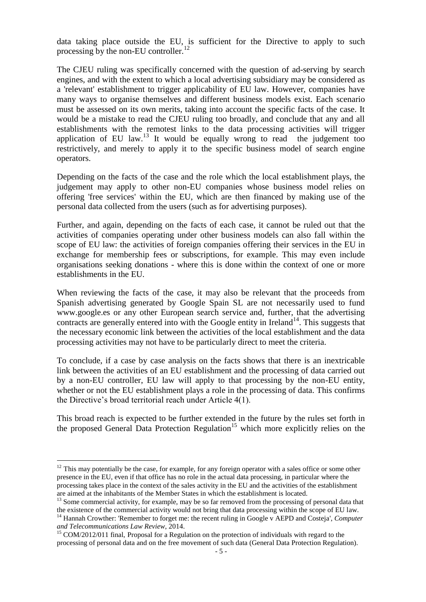data taking place outside the EU, is sufficient for the Directive to apply to such processing by the non-EU controller.<sup>12</sup>

The CJEU ruling was specifically concerned with the question of ad-serving by search engines, and with the extent to which a local advertising subsidiary may be considered as a 'relevant' establishment to trigger applicability of EU law. However, companies have many ways to organise themselves and different business models exist. Each scenario must be assessed on its own merits, taking into account the specific facts of the case. It would be a mistake to read the CJEU ruling too broadly, and conclude that any and all establishments with the remotest links to the data processing activities will trigger application of EU law.<sup>13</sup> It would be equally wrong to read the judgement too restrictively, and merely to apply it to the specific business model of search engine operators.

Depending on the facts of the case and the role which the local establishment plays, the judgement may apply to other non-EU companies whose business model relies on offering 'free services' within the EU, which are then financed by making use of the personal data collected from the users (such as for advertising purposes).

Further, and again, depending on the facts of each case, it cannot be ruled out that the activities of companies operating under other business models can also fall within the scope of EU law: the activities of foreign companies offering their services in the EU in exchange for membership fees or subscriptions, for example. This may even include organisations seeking donations - where this is done within the context of one or more establishments in the EU.

When reviewing the facts of the case, it may also be relevant that the proceeds from Spanish advertising generated by Google Spain SL are not necessarily used to fund www.google.es or any other European search service and, further, that the advertising contracts are generally entered into with the Google entity in Ireland<sup>14</sup>. This suggests that the necessary economic link between the activities of the local establishment and the data processing activities may not have to be particularly direct to meet the criteria.

To conclude, if a case by case analysis on the facts shows that there is an inextricable link between the activities of an EU establishment and the processing of data carried out by a non-EU controller, EU law will apply to that processing by the non-EU entity, whether or not the EU establishment plays a role in the processing of data. This confirms the Directive's broad territorial reach under Article 4(1).

This broad reach is expected to be further extended in the future by the rules set forth in the proposed General Data Protection Regulation<sup>15</sup> which more explicitly relies on the

1

<sup>&</sup>lt;sup>12</sup> This may potentially be the case, for example, for any foreign operator with a sales office or some other presence in the EU, even if that office has no role in the actual data processing, in particular where the processing takes place in the context of the sales activity in the EU and the activities of the establishment are aimed at the inhabitants of the Member States in which the establishment is located.

<sup>&</sup>lt;sup>13</sup> Some commercial activity, for example, may be so far removed from the processing of personal data that the existence of the commercial activity would not bring that data processing within the scope of EU law.

<sup>&</sup>lt;sup>14</sup> Hannah Crowther: 'Remember to forget me: the recent ruling in Google v AEPD and Costeja', *Computer and Telecommunications Law Review*, 2014.

<sup>&</sup>lt;sup>15</sup> COM/2012/011 final, Proposal for a Regulation on the protection of individuals with regard to the processing of personal data and on the free movement of such data (General Data Protection Regulation).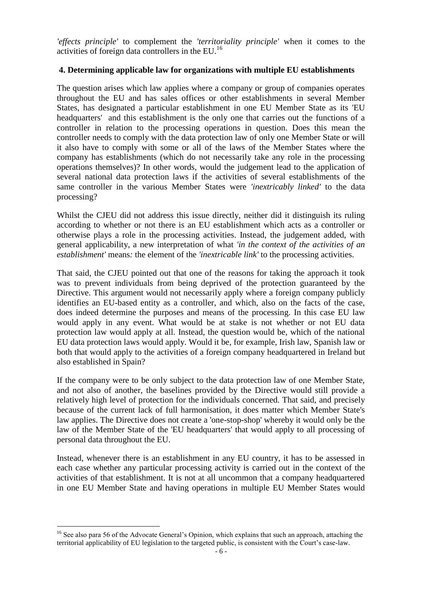*'effects principle'* to complement the *'territoriality principle'* when it comes to the activities of foreign data controllers in the  $EU^{16}$ .

### **4. Determining applicable law for organizations with multiple EU establishments**

The question arises which law applies where a company or group of companies operates throughout the EU and has sales offices or other establishments in several Member States, has designated a particular establishment in one EU Member State as its 'EU headquarters' and this establishment is the only one that carries out the functions of a controller in relation to the processing operations in question. Does this mean the controller needs to comply with the data protection law of only one Member State or will it also have to comply with some or all of the laws of the Member States where the company has establishments (which do not necessarily take any role in the processing operations themselves)? In other words, would the judgement lead to the application of several national data protection laws if the activities of several establishments of the same controller in the various Member States were *'inextricably linked'* to the data processing?

Whilst the CJEU did not address this issue directly, neither did it distinguish its ruling according to whether or not there is an EU establishment which acts as a controller or otherwise plays a role in the processing activities. Instead, the judgement added, with general applicability, a new interpretation of what *'in the context of the activities of an establishment'* means*:* the element of the *'inextricable link'* to the processing activities.

That said, the CJEU pointed out that one of the reasons for taking the approach it took was to prevent individuals from being deprived of the protection guaranteed by the Directive. This argument would not necessarily apply where a foreign company publicly identifies an EU-based entity as a controller, and which, also on the facts of the case, does indeed determine the purposes and means of the processing. In this case EU law would apply in any event. What would be at stake is not whether or not EU data protection law would apply at all. Instead, the question would be, which of the national EU data protection laws would apply. Would it be, for example, Irish law, Spanish law or both that would apply to the activities of a foreign company headquartered in Ireland but also established in Spain?

If the company were to be only subject to the data protection law of one Member State, and not also of another, the baselines provided by the Directive would still provide a relatively high level of protection for the individuals concerned. That said, and precisely because of the current lack of full harmonisation, it does matter which Member State's law applies. The Directive does not create a 'one-stop-shop' whereby it would only be the law of the Member State of the 'EU headquarters' that would apply to all processing of personal data throughout the EU.

Instead, whenever there is an establishment in any EU country, it has to be assessed in each case whether any particular processing activity is carried out in the context of the activities of that establishment. It is not at all uncommon that a company headquartered in one EU Member State and having operations in multiple EU Member States would

<sup>&</sup>lt;sup>16</sup> See also para 56 of the Advocate General's Opinion, which explains that such an approach, attaching the territorial applicability of EU legislation to the targeted public, is consistent with the Court's case-law.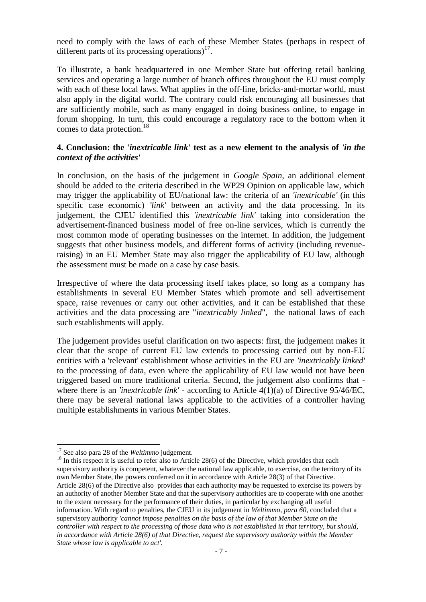need to comply with the laws of each of these Member States (perhaps in respect of different parts of its processing operations) $17$ .

To illustrate, a bank headquartered in one Member State but offering retail banking services and operating a large number of branch offices throughout the EU must comply with each of these local laws. What applies in the off-line, bricks-and-mortar world, must also apply in the digital world. The contrary could risk encouraging all businesses that are sufficiently mobile, such as many engaged in doing business online, to engage in forum shopping. In turn, this could encourage a regulatory race to the bottom when it comes to data protection.<sup>18</sup>

## **4. Conclusion: the '***inextricable link***' test as a new element to the analysis of** *'in the context of the activities'*

In conclusion, on the basis of the judgement in *Google Spain*, an additional element should be added to the criteria described in the WP29 Opinion on applicable law, which may trigger the applicability of EU/national law: the criteria of an *'inextricable'* (in this specific case economic) *'link'* between an activity and the data processing. In its judgement, the CJEU identified this *'inextricable link'* taking into consideration the advertisement-financed business model of free on-line services, which is currently the most common mode of operating businesses on the internet. In addition, the judgement suggests that other business models, and different forms of activity (including revenueraising) in an EU Member State may also trigger the applicability of EU law, although the assessment must be made on a case by case basis.

Irrespective of where the data processing itself takes place, so long as a company has establishments in several EU Member States which promote and sell advertisement space, raise revenues or carry out other activities, and it can be established that these activities and the data processing are "*inextricably linked*", the national laws of each such establishments will apply.

The judgement provides useful clarification on two aspects: first, the judgement makes it clear that the scope of current EU law extends to processing carried out by non-EU entities with a 'relevant' establishment whose activities in the EU are *'inextricably linked'* to the processing of data, even where the applicability of EU law would not have been triggered based on more traditional criteria. Second, the judgement also confirms that where there is an *'inextricable link'* - according to Article 4(1)(a) of Directive 95/46/EC, there may be several national laws applicable to the activities of a controller having multiple establishments in various Member States.

1

 $18$  In this respect it is useful to refer also to Article 28(6) of the Directive, which provides that each supervisory authority is competent, whatever the national law applicable, to exercise, on the territory of its own Member State, the powers conferred on it in accordance with Article 28(3) of that Directive. Article 28(6) of the Directive also provides that each authority may be requested to exercise its powers by an authority of another Member State and that the supervisory authorities are to cooperate with one another to the extent necessary for the performance of their duties, in particular by exchanging all useful information. With regard to penalties, the CJEU in its judgement in *Weltimmo, para 60,* concluded that a supervisory authority *'cannot impose penalties on the basis of the law of that Member State on the controller with respect to the processing of those data who is not established in that territory, but should, in accordance with Article 28(6) of that Directive, request the supervisory authority within the Member State whose law is applicable to act'.*

<sup>17</sup> See also para 28 of the *Weltimmo* judgement.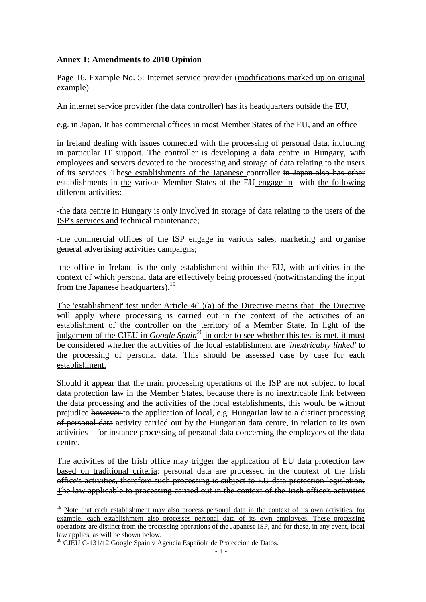### **Annex 1: Amendments to 2010 Opinion**

Page 16, Example No. 5: Internet service provider (modifications marked up on original example)

An internet service provider (the data controller) has its headquarters outside the EU,

e.g. in Japan. It has commercial offices in most Member States of the EU, and an office

in Ireland dealing with issues connected with the processing of personal data, including in particular IT support. The controller is developing a data centre in Hungary, with employees and servers devoted to the processing and storage of data relating to the users of its services. These establishments of the Japanese controller in Japan also has other establishments in the various Member States of the EU engage in with the following different activities:

-the data centre in Hungary is only involved in storage of data relating to the users of the ISP's services and technical maintenance;

-the commercial offices of the ISP engage in various sales, marketing and organise general advertising activities campaigns;

-the office in Ireland is the only establishment within the EU, with activities in the context of which personal data are effectively being processed (notwithstanding the input from the Japanese headquarters).<sup>19</sup>

The 'establishment' test under Article 4(1)(a) of the Directive means that the Directive will apply where processing is carried out in the context of the activities of an establishment of the controller on the territory of a Member State. In light of the judgement of the CJEU in *Google Spain*<sup>20</sup> in order to see whether this test is met, it must be considered whether the activities of the local establishment are *'inextricably linked'* to the processing of personal data. This should be assessed case by case for each establishment.

Should it appear that the main processing operations of the ISP are not subject to local data protection law in the Member States, because there is no inextricable link between the data processing and the activities of the local establishments, this would be without prejudice however to the application of local, e.g. Hungarian law to a distinct processing of personal data activity carried out by the Hungarian data centre, in relation to its own activities – for instance processing of personal data concerning the employees of the data centre.

The activities of the Irish office may trigger the application of EU data protection law based on traditional criteria: personal data are processed in the context of the Irish office's activities, therefore such processing is subject to EU data protection legislation. The law applicable to processing carried out in the context of the Irish office's activities

<sup>&</sup>lt;sup>19</sup> Note that each establishment may also process personal data in the context of its own activities, for example, each establishment also processes personal data of its own employees. These processing operations are distinct from the processing operations of the Japanese ISP, and for these, in any event, local law applies, as will be shown below.

<sup>20</sup> CJEU C-131/12 Google Spain v Agencia Española de Proteccion de Datos.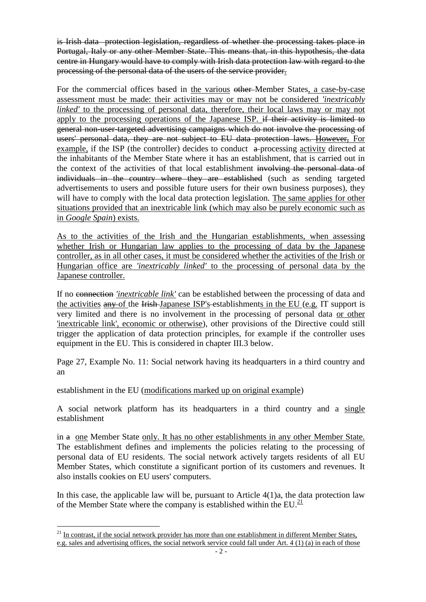is Irish data protection legislation, regardless of whether the processing takes place in Portugal, Italy or any other Member State. This means that, in this hypothesis, the data centre in Hungary would have to comply with Irish data protection law with regard to the processing of the personal data of the users of the service provider.

For the commercial offices based in the various other Member States, a case-by-case assessment must be made: their activities may or may not be considered *'inextricably linked'* to the processing of personal data, therefore, their local laws may or may not apply to the processing operations of the Japanese ISP. if their activity is limited to general non-user-targeted advertising campaigns which do not involve the processing of users' personal data, they are not subject to EU data protection laws. However, For example, if the ISP (the controller) decides to conduct  $\alpha$ -processing activity directed at the inhabitants of the Member State where it has an establishment, that is carried out in the context of the activities of that local establishment involving the personal data of individuals in the country where they are established (such as sending targeted advertisements to users and possible future users for their own business purposes), they will have to comply with the local data protection legislation. The same applies for other situations provided that an inextricable link (which may also be purely economic such as in *Google Spain*) exists.

As to the activities of the Irish and the Hungarian establishments, when assessing whether Irish or Hungarian law applies to the processing of data by the Japanese controller, as in all other cases, it must be considered whether the activities of the Irish or Hungarian office are *'inextricably linked'* to the processing of personal data by the Japanese controller.

If no connection *'inextricable link'* can be established between the processing of data and the activities any of the Hish-Japanese ISP's-establishments in the EU (e.g. IT support is very limited and there is no involvement in the processing of personal data or other 'inextricable link', economic or otherwise), other provisions of the Directive could still trigger the application of data protection principles, for example if the controller uses equipment in the EU. This is considered in chapter III.3 below.

Page 27, Example No. 11: Social network having its headquarters in a third country and an

establishment in the EU (modifications marked up on original example)

<u>.</u>

A social network platform has its headquarters in a third country and a single establishment

in a one Member State only. It has no other establishments in any other Member State. The establishment defines and implements the policies relating to the processing of personal data of EU residents. The social network actively targets residents of all EU Member States, which constitute a significant portion of its customers and revenues. It also installs cookies on EU users' computers.

In this case, the applicable law will be, pursuant to Article  $4(1)a$ , the data protection law of the Member State where the company is established within the EU. $^{21}$ 

 $21$  In contrast, if the social network provider has more than one establishment in different Member States, e.g. sales and advertising offices, the social network service could fall under Art. 4 (1) (a) in each of those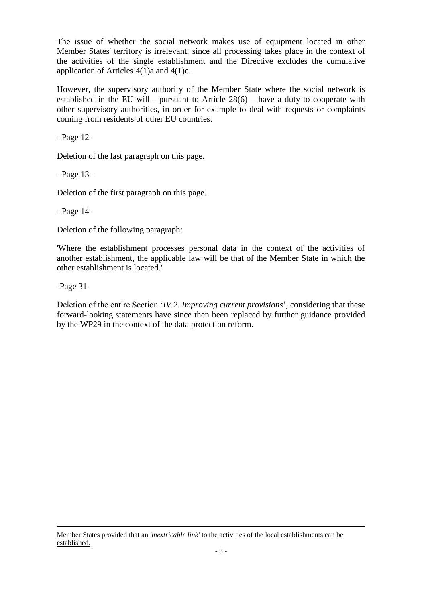The issue of whether the social network makes use of equipment located in other Member States' territory is irrelevant, since all processing takes place in the context of the activities of the single establishment and the Directive excludes the cumulative application of Articles 4(1)a and 4(1)c.

However, the supervisory authority of the Member State where the social network is established in the EU will - pursuant to Article  $28(6)$  – have a duty to cooperate with other supervisory authorities, in order for example to deal with requests or complaints coming from residents of other EU countries.

- Page 12-

Deletion of the last paragraph on this page.

- Page 13 -

Deletion of the first paragraph on this page.

- Page 14-

Deletion of the following paragraph:

'Where the establishment processes personal data in the context of the activities of another establishment, the applicable law will be that of the Member State in which the other establishment is located.'

-Page 31-

<u>.</u>

Deletion of the entire Section '*IV.2. Improving current provisions*', considering that these forward-looking statements have since then been replaced by further guidance provided by the WP29 in the context of the data protection reform.

Member States provided that an *'inextricable link'* to the activities of the local establishments can be established.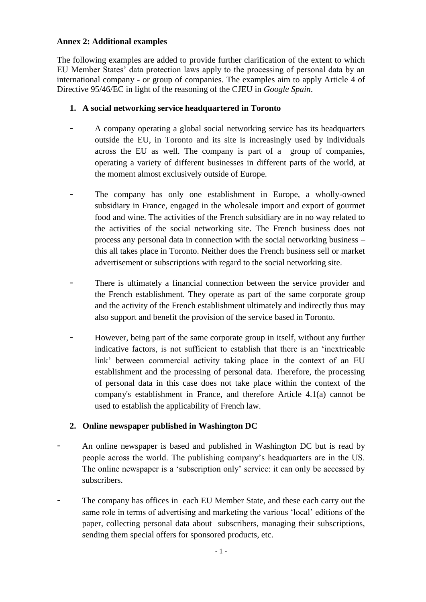# **Annex 2: Additional examples**

The following examples are added to provide further clarification of the extent to which EU Member States' data protection laws apply to the processing of personal data by an international company - or group of companies. The examples aim to apply Article 4 of Directive 95/46/EC in light of the reasoning of the CJEU in *Google Spain*.

# **1. A social networking service headquartered in Toronto**

- A company operating a global social networking service has its headquarters outside the EU, in Toronto and its site is increasingly used by individuals across the EU as well. The company is part of a group of companies, operating a variety of different businesses in different parts of the world, at the moment almost exclusively outside of Europe.
- The company has only one establishment in Europe, a wholly-owned subsidiary in France, engaged in the wholesale import and export of gourmet food and wine. The activities of the French subsidiary are in no way related to the activities of the social networking site. The French business does not process any personal data in connection with the social networking business – this all takes place in Toronto. Neither does the French business sell or market advertisement or subscriptions with regard to the social networking site.
- There is ultimately a financial connection between the service provider and the French establishment. They operate as part of the same corporate group and the activity of the French establishment ultimately and indirectly thus may also support and benefit the provision of the service based in Toronto.
- However, being part of the same corporate group in itself, without any further indicative factors, is not sufficient to establish that there is an 'inextricable link' between commercial activity taking place in the context of an EU establishment and the processing of personal data. Therefore, the processing of personal data in this case does not take place within the context of the company's establishment in France, and therefore Article 4.1(a) cannot be used to establish the applicability of French law.

# **2. Online newspaper published in Washington DC**

- An online newspaper is based and published in Washington DC but is read by people across the world. The publishing company's headquarters are in the US. The online newspaper is a 'subscription only' service: it can only be accessed by subscribers.
- The company has offices in each EU Member State, and these each carry out the same role in terms of advertising and marketing the various 'local' editions of the paper, collecting personal data about subscribers, managing their subscriptions, sending them special offers for sponsored products, etc.